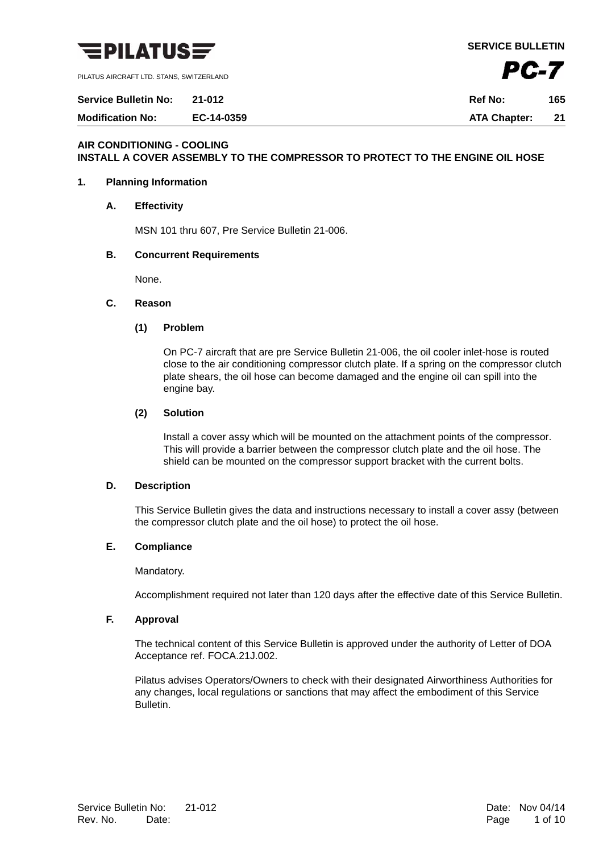

PILATUS AIRCRAFT LTD. STANS, SWITZERLAND

DC-7

| PILATUS AIRCRAFT LID. STANS. SWITZERLAND |            | ---                 |     |
|------------------------------------------|------------|---------------------|-----|
| <b>Service Bulletin No:</b>              | 21-012     | <b>Ref No:</b>      | 165 |
| <b>Modification No:</b>                  | EC-14-0359 | <b>ATA Chapter:</b> | 21  |

# **AIR CONDITIONING - COOLING INSTALL A COVER ASSEMBLY TO THE COMPRESSOR TO PROTECT TO THE ENGINE OIL HOSE**

## **1. Planning Information**

#### **A. Effectivity**

MSN 101 thru 607, Pre Service Bulletin 21-006.

#### **B. Concurrent Requirements**

None.

#### **C. Reason**

## **(1) Problem**

On PC-7 aircraft that are pre Service Bulletin 21-006, the oil cooler inlet-hose is routed close to the air conditioning compressor clutch plate. If a spring on the compressor clutch plate shears, the oil hose can become damaged and the engine oil can spill into the engine bay.

## **(2) Solution**

Install a cover assy which will be mounted on the attachment points of the compressor. This will provide a barrier between the compressor clutch plate and the oil hose. The shield can be mounted on the compressor support bracket with the current bolts.

## **D. Description**

This Service Bulletin gives the data and instructions necessary to install a cover assy (between the compressor clutch plate and the oil hose) to protect the oil hose.

#### **E. Compliance**

Mandatory.

Accomplishment required not later than 120 days after the effective date of this Service Bulletin.

# **F. Approval**

The technical content of this Service Bulletin is approved under the authority of Letter of DOA Acceptance ref. FOCA.21J.002.

Pilatus advises Operators/Owners to check with their designated Airworthiness Authorities for any changes, local regulations or sanctions that may affect the embodiment of this Service Bulletin.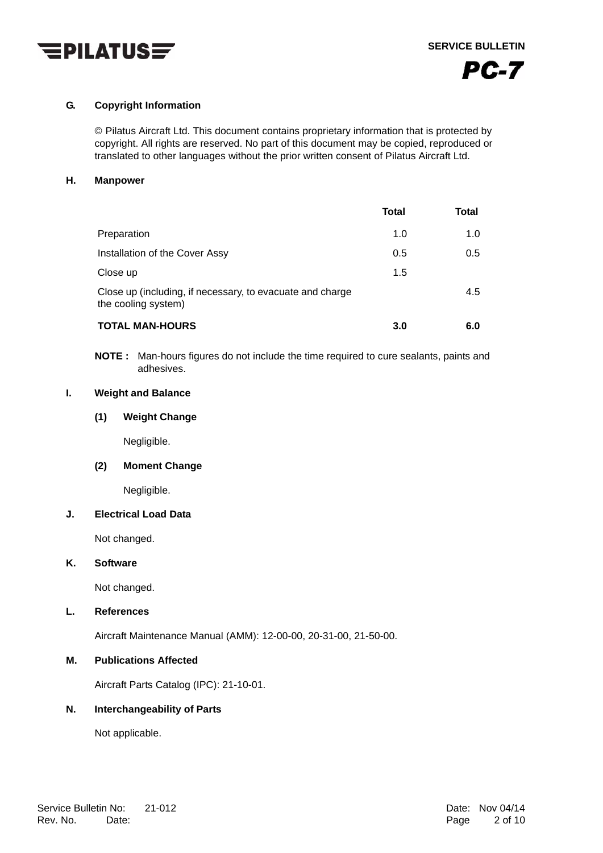



# **G. Copyright Information**

© Pilatus Aircraft Ltd. This document contains proprietary information that is protected by copyright. All rights are reserved. No part of this document may be copied, reproduced or translated to other languages without the prior written consent of Pilatus Aircraft Ltd.

## **H. Manpower**

|                                                                                  | <b>Total</b> | Total |
|----------------------------------------------------------------------------------|--------------|-------|
| Preparation                                                                      | 1.0          | 1.0   |
| Installation of the Cover Assy                                                   | 0.5          | 0.5   |
| Close up                                                                         | 1.5          |       |
| Close up (including, if necessary, to evacuate and charge<br>the cooling system) |              | 4.5   |
| <b>TOTAL MAN-HOURS</b>                                                           | 3.0          | 6.0   |

**NOTE :** Man-hours figures do not include the time required to cure sealants, paints and adhesives.

# **I. Weight and Balance**

# **(1) Weight Change**

Negligible.

# **(2) Moment Change**

Negligible.

# **J. Electrical Load Data**

Not changed.

# **K. Software**

Not changed.

# **L. References**

Aircraft Maintenance Manual (AMM): 12-00-00, 20-31-00, 21-50-00.

# **M. Publications Affected**

Aircraft Parts Catalog (IPC): 21-10-01.

# **N. Interchangeability of Parts**

Not applicable.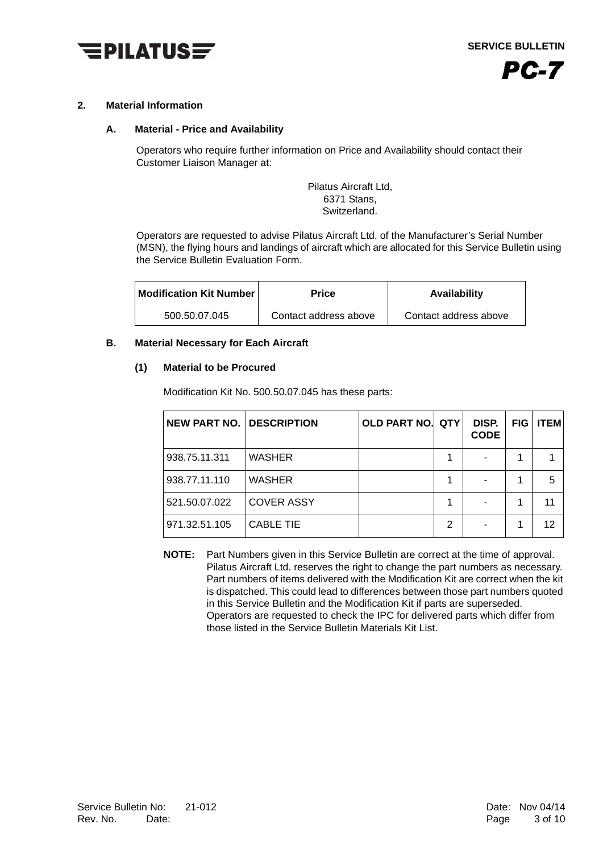



## **2. Material Information**

## **A. Material - Price and Availability**

Operators who require further information on Price and Availability should contact their Customer Liaison Manager at:

> Pilatus Aircraft Ltd, 6371 Stans, Switzerland.

Operators are requested to advise Pilatus Aircraft Ltd. of the Manufacturer's Serial Number (MSN), the flying hours and landings of aircraft which are allocated for this Service Bulletin using the Service Bulletin Evaluation Form.

| Modification Kit Number | Price                 | Availability          |
|-------------------------|-----------------------|-----------------------|
| 500.50.07.045           | Contact address above | Contact address above |

## **B. Material Necessary for Each Aircraft**

## **(1) Material to be Procured**

Modification Kit No. 500.50.07.045 has these parts:

| <b>NEW PART NO.   DESCRIPTION</b> |                   | <b>OLD PART NO. QTY</b> |   | DISP.<br><b>CODE</b> | <b>FIG</b> | <b>ITEM</b> |
|-----------------------------------|-------------------|-------------------------|---|----------------------|------------|-------------|
| 938.75.11.311                     | WASHER            |                         |   |                      |            |             |
| 938.77.11.110                     | WASHER            |                         |   |                      |            | 5           |
| 521.50.07.022                     | <b>COVER ASSY</b> |                         |   |                      |            | 11          |
| 971.32.51.105                     | <b>CABLE TIE</b>  |                         | 2 |                      |            | 12          |

**NOTE:** Part Numbers given in this Service Bulletin are correct at the time of approval. Pilatus Aircraft Ltd. reserves the right to change the part numbers as necessary. Part numbers of items delivered with the Modification Kit are correct when the kit is dispatched. This could lead to differences between those part numbers quoted in this Service Bulletin and the Modification Kit if parts are superseded. Operators are requested to check the IPC for delivered parts which differ from those listed in the Service Bulletin Materials Kit List.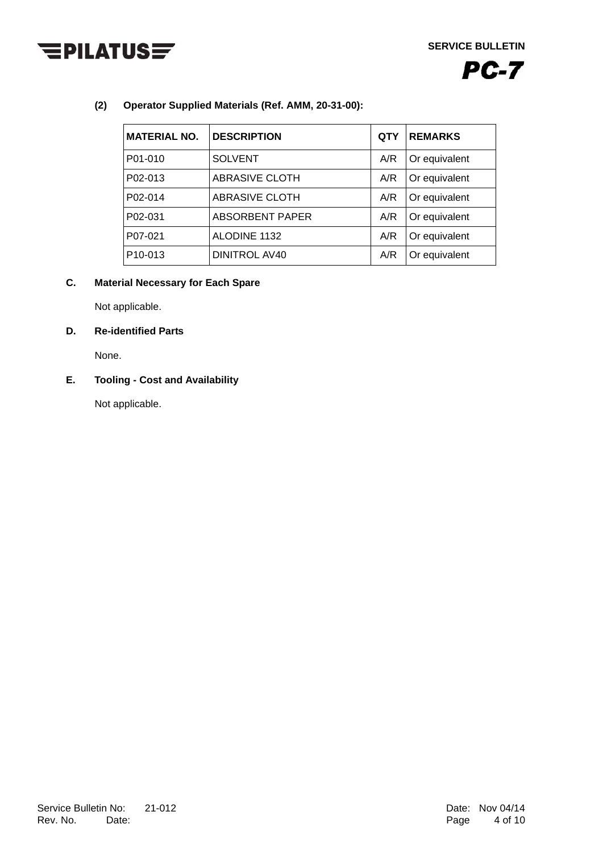





# **(2) Operator Supplied Materials (Ref. AMM, 20-31-00):**

| <b>MATERIAL NO.</b> | <b>DESCRIPTION</b>     | <b>QTY</b> | <b>REMARKS</b> |
|---------------------|------------------------|------------|----------------|
| P01-010             | <b>SOLVENT</b>         | A/R        | Or equivalent  |
| P02-013             | <b>ABRASIVE CLOTH</b>  | A/R        | Or equivalent  |
| P02-014             | <b>ABRASIVE CLOTH</b>  | A/R        | Or equivalent  |
| P02-031             | <b>ABSORBENT PAPER</b> | A/R        | Or equivalent  |
| P07-021             | ALODINE 1132           | A/R        | Or equivalent  |
| P10-013             | <b>DINITROL AV40</b>   | A/R        | Or equivalent  |

# **C. Material Necessary for Each Spare**

Not applicable.

# **D. Re-identified Parts**

None.

# **E. Tooling - Cost and Availability**

Not applicable.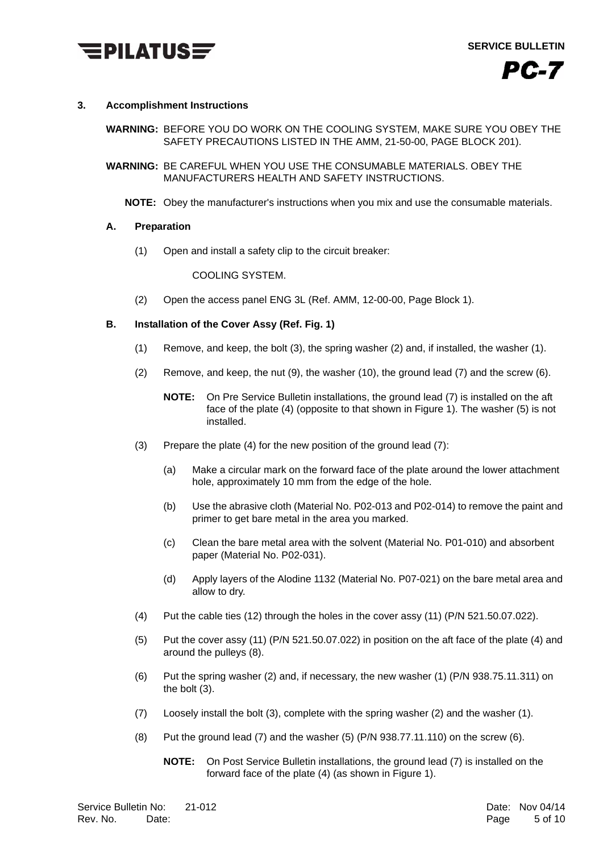



#### **3. Accomplishment Instructions**

**WARNING:** BEFORE YOU DO WORK ON THE COOLING SYSTEM, MAKE SURE YOU OBEY THE SAFETY PRECAUTIONS LISTED IN THE AMM, 21-50-00, PAGE BLOCK 201).

**WARNING:** BE CAREFUL WHEN YOU USE THE CONSUMABLE MATERIALS. OBEY THE MANUFACTURERS HEALTH AND SAFETY INSTRUCTIONS.

**NOTE:** Obey the manufacturer's instructions when you mix and use the consumable materials.

## **A. Preparation**

(1) Open and install a safety clip to the circuit breaker:

COOLING SYSTEM.

(2) Open the access panel ENG 3L (Ref. AMM, 12-00-00, Page Block 1).

## **B. Installation of the Cover Assy (Ref. Fig. 1)**

- (1) Remove, and keep, the bolt (3), the spring washer (2) and, if installed, the washer (1).
- (2) Remove, and keep, the nut (9), the washer (10), the ground lead (7) and the screw (6).
	- **NOTE:** On Pre Service Bulletin installations, the ground lead (7) is installed on the aft face of the plate (4) (opposite to that shown in Figure 1). The washer (5) is not installed.
- (3) Prepare the plate (4) for the new position of the ground lead (7):
	- (a) Make a circular mark on the forward face of the plate around the lower attachment hole, approximately 10 mm from the edge of the hole.
	- (b) Use the abrasive cloth (Material No. P02-013 and P02-014) to remove the paint and primer to get bare metal in the area you marked.
	- (c) Clean the bare metal area with the solvent (Material No. P01-010) and absorbent paper (Material No. P02-031).
	- (d) Apply layers of the Alodine 1132 (Material No. P07-021) on the bare metal area and allow to dry.
- (4) Put the cable ties (12) through the holes in the cover assy (11) (P/N 521.50.07.022).
- (5) Put the cover assy (11) (P/N 521.50.07.022) in position on the aft face of the plate (4) and around the pulleys (8).
- (6) Put the spring washer (2) and, if necessary, the new washer (1) (P/N 938.75.11.311) on the bolt (3).
- (7) Loosely install the bolt (3), complete with the spring washer (2) and the washer (1).
- (8) Put the ground lead  $(7)$  and the washer  $(5)$  (P/N 938.77.11.110) on the screw  $(6)$ .

**NOTE:** On Post Service Bulletin installations, the ground lead (7) is installed on the forward face of the plate (4) (as shown in Figure 1).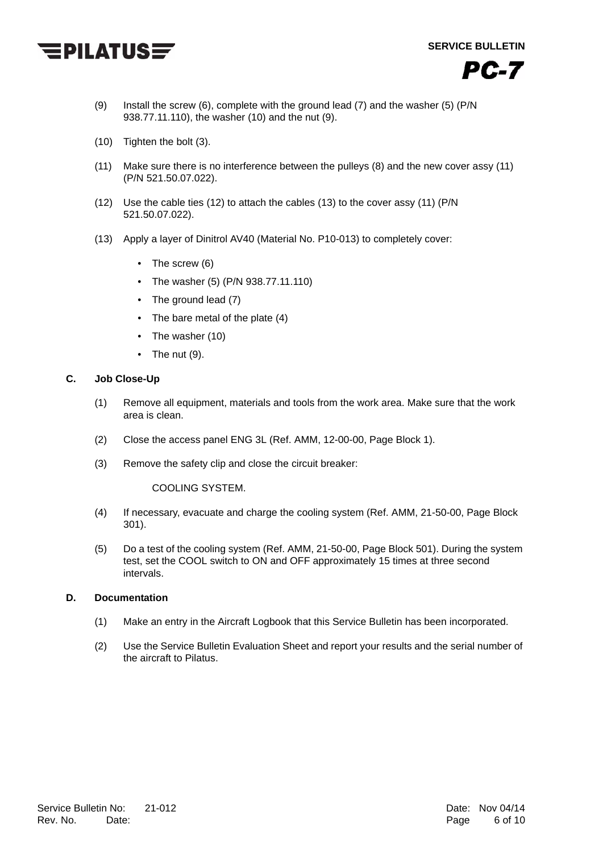



- (9) Install the screw (6), complete with the ground lead (7) and the washer (5) (P/N 938.77.11.110), the washer (10) and the nut (9).
- (10) Tighten the bolt (3).
- (11) Make sure there is no interference between the pulleys (8) and the new cover assy (11) (P/N 521.50.07.022).
- (12) Use the cable ties (12) to attach the cables (13) to the cover assy (11) (P/N 521.50.07.022).
- (13) Apply a layer of Dinitrol AV40 (Material No. P10-013) to completely cover:
	- The screw (6)
	- The washer (5) (P/N 938.77.11.110)
	- The ground lead (7)
	- The bare metal of the plate (4)
	- The washer (10)
	- The nut (9).

## **C. Job Close-Up**

- (1) Remove all equipment, materials and tools from the work area. Make sure that the work area is clean.
- (2) Close the access panel ENG 3L (Ref. AMM, 12-00-00, Page Block 1).
- (3) Remove the safety clip and close the circuit breaker:

COOLING SYSTEM.

- (4) If necessary, evacuate and charge the cooling system (Ref. AMM, 21-50-00, Page Block 301).
- (5) Do a test of the cooling system (Ref. AMM, 21-50-00, Page Block 501). During the system test, set the COOL switch to ON and OFF approximately 15 times at three second intervals.

## **D. Documentation**

- (1) Make an entry in the Aircraft Logbook that this Service Bulletin has been incorporated.
- (2) Use the Service Bulletin Evaluation Sheet and report your results and the serial number of the aircraft to Pilatus.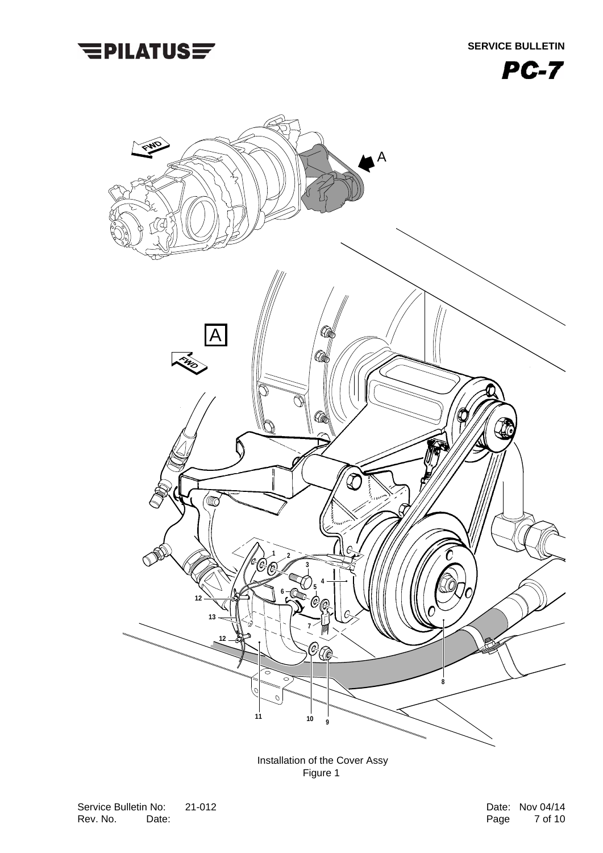

**SERVICE BULLETIN**





 Installation of the Cover Assy Figure 1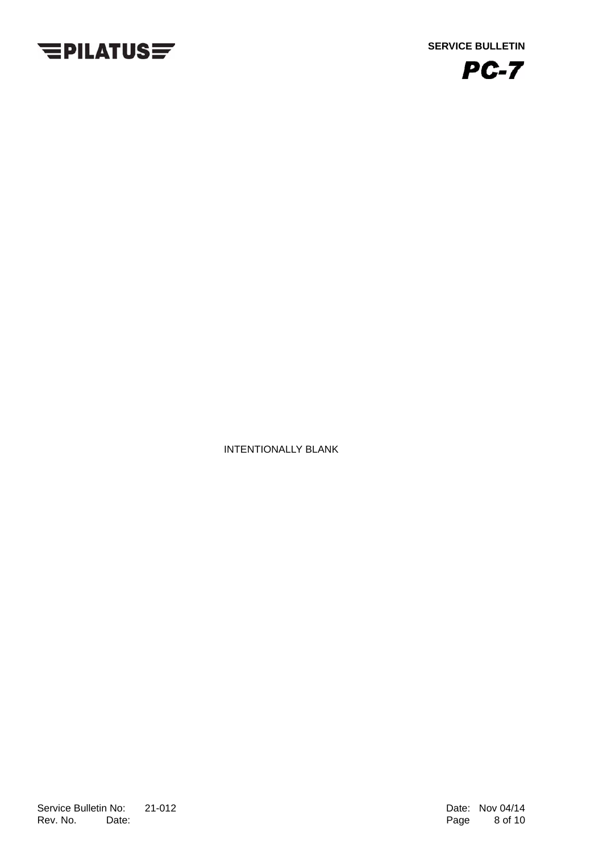

**SERVICE BULLETIN**



INTENTIONALLY BLANK

Service Bulletin No: 21-012<br>
Rev. No. Date: 21-012 Date: Nov 04/14<br>
Page 8 of 10 Rev. No. Date: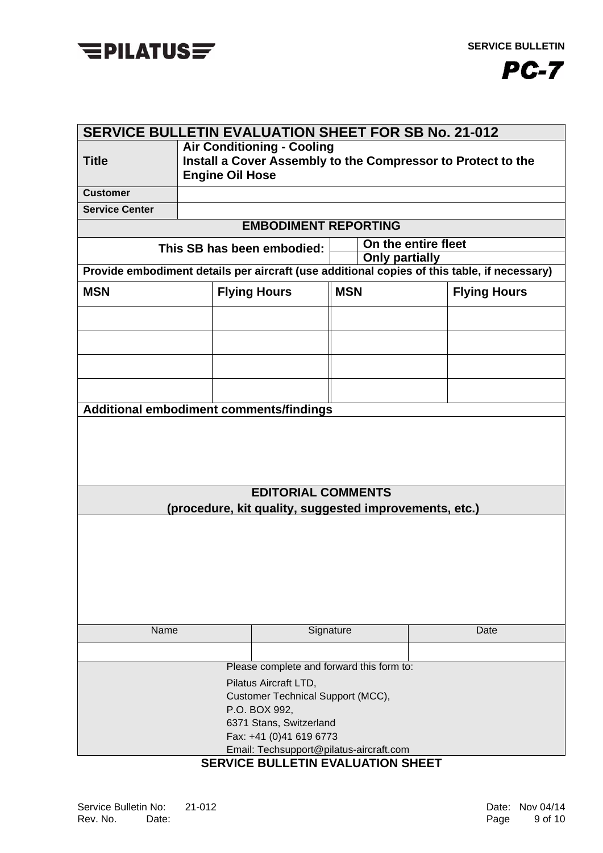



| <b>SERVICE BULLETIN EVALUATION SHEET FOR SB No. 21-012</b> |                                                                                                                             |                             |                                                        |                                                                                             |  |  |
|------------------------------------------------------------|-----------------------------------------------------------------------------------------------------------------------------|-----------------------------|--------------------------------------------------------|---------------------------------------------------------------------------------------------|--|--|
| <b>Title</b>                                               | <b>Air Conditioning - Cooling</b><br>Install a Cover Assembly to the Compressor to Protect to the<br><b>Engine Oil Hose</b> |                             |                                                        |                                                                                             |  |  |
| <b>Customer</b>                                            |                                                                                                                             |                             |                                                        |                                                                                             |  |  |
| <b>Service Center</b>                                      |                                                                                                                             |                             |                                                        |                                                                                             |  |  |
|                                                            |                                                                                                                             | <b>EMBODIMENT REPORTING</b> |                                                        |                                                                                             |  |  |
|                                                            | On the entire fleet<br>This SB has been embodied:<br><b>Only partially</b>                                                  |                             |                                                        |                                                                                             |  |  |
|                                                            |                                                                                                                             |                             |                                                        | Provide embodiment details per aircraft (use additional copies of this table, if necessary) |  |  |
| <b>MSN</b>                                                 |                                                                                                                             | <b>Flying Hours</b>         | <b>MSN</b>                                             | <b>Flying Hours</b>                                                                         |  |  |
|                                                            |                                                                                                                             |                             |                                                        |                                                                                             |  |  |
|                                                            |                                                                                                                             |                             |                                                        |                                                                                             |  |  |
|                                                            |                                                                                                                             |                             |                                                        |                                                                                             |  |  |
|                                                            |                                                                                                                             |                             |                                                        |                                                                                             |  |  |
| <b>Additional embodiment comments/findings</b>             |                                                                                                                             |                             |                                                        |                                                                                             |  |  |
|                                                            |                                                                                                                             |                             |                                                        |                                                                                             |  |  |
|                                                            |                                                                                                                             | <b>EDITORIAL COMMENTS</b>   |                                                        |                                                                                             |  |  |
|                                                            |                                                                                                                             |                             | (procedure, kit quality, suggested improvements, etc.) |                                                                                             |  |  |
|                                                            |                                                                                                                             |                             |                                                        |                                                                                             |  |  |
| Name                                                       |                                                                                                                             | Signature<br>Date           |                                                        |                                                                                             |  |  |
|                                                            |                                                                                                                             |                             |                                                        |                                                                                             |  |  |
| Please complete and forward this form to:                  |                                                                                                                             |                             |                                                        |                                                                                             |  |  |
| Pilatus Aircraft LTD,<br>Customer Technical Support (MCC), |                                                                                                                             |                             |                                                        |                                                                                             |  |  |
| P.O. BOX 992,                                              |                                                                                                                             |                             |                                                        |                                                                                             |  |  |
| 6371 Stans, Switzerland                                    |                                                                                                                             |                             |                                                        |                                                                                             |  |  |
| Fax: +41 (0)41 619 6773                                    |                                                                                                                             |                             |                                                        |                                                                                             |  |  |
| Email: Techsupport@pilatus-aircraft.com                    |                                                                                                                             |                             |                                                        |                                                                                             |  |  |

**SERVICE BULLETIN EVALUATION SHEET**